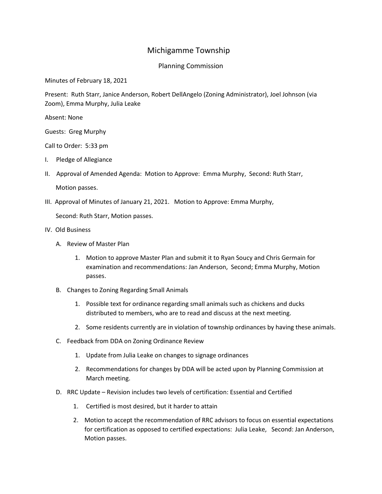## Michigamme Township

## Planning Commission

Minutes of February 18, 2021

Present: Ruth Starr, Janice Anderson, Robert DellAngelo (Zoning Administrator), Joel Johnson (via Zoom), Emma Murphy, Julia Leake

Absent: None

Guests: Greg Murphy

Call to Order: 5:33 pm

- I. Pledge of Allegiance
- II. Approval of Amended Agenda: Motion to Approve: Emma Murphy, Second: Ruth Starr,

Motion passes.

III. Approval of Minutes of January 21, 2021. Motion to Approve: Emma Murphy,

Second: Ruth Starr, Motion passes.

- IV. Old Business
	- A. Review of Master Plan
		- 1. Motion to approve Master Plan and submit it to Ryan Soucy and Chris Germain for examination and recommendations: Jan Anderson, Second; Emma Murphy, Motion passes.
	- B. Changes to Zoning Regarding Small Animals
		- 1. Possible text for ordinance regarding small animals such as chickens and ducks distributed to members, who are to read and discuss at the next meeting.
		- 2. Some residents currently are in violation of township ordinances by having these animals.
	- C. Feedback from DDA on Zoning Ordinance Review
		- 1. Update from Julia Leake on changes to signage ordinances
		- 2. Recommendations for changes by DDA will be acted upon by Planning Commission at March meeting.
	- D. RRC Update Revision includes two levels of certification: Essential and Certified
		- 1. Certified is most desired, but it harder to attain
		- 2. Motion to accept the recommendation of RRC advisors to focus on essential expectations for certification as opposed to certified expectations: Julia Leake, Second: Jan Anderson, Motion passes.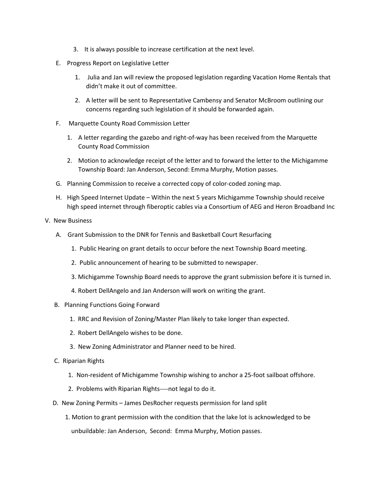- 3. It is always possible to increase certification at the next level.
- E. Progress Report on Legislative Letter
	- 1. Julia and Jan will review the proposed legislation regarding Vacation Home Rentals that didn't make it out of committee.
	- 2. A letter will be sent to Representative Cambensy and Senator McBroom outlining our concerns regarding such legislation of it should be forwarded again.
- F. Marquette County Road Commission Letter
	- 1. A letter regarding the gazebo and right-of-way has been received from the Marquette County Road Commission
	- 2. Motion to acknowledge receipt of the letter and to forward the letter to the Michigamme Township Board: Jan Anderson, Second: Emma Murphy, Motion passes.
- G. Planning Commission to receive a corrected copy of color-coded zoning map.
- H. High Speed Internet Update Within the next 5 years Michigamme Township should receive high speed internet through fiberoptic cables via a Consortium of AEG and Heron Broadband Inc

## V. New Business

- A. Grant Submission to the DNR for Tennis and Basketball Court Resurfacing
	- 1. Public Hearing on grant details to occur before the next Township Board meeting.
	- 2. Public announcement of hearing to be submitted to newspaper.
	- 3. Michigamme Township Board needs to approve the grant submission before it is turned in.
	- 4. Robert DellAngelo and Jan Anderson will work on writing the grant.
- B. Planning Functions Going Forward
	- 1. RRC and Revision of Zoning/Master Plan likely to take longer than expected.
	- 2. Robert DellAngelo wishes to be done.
	- 3. New Zoning Administrator and Planner need to be hired.
- C. Riparian Rights
	- 1. Non-resident of Michigamme Township wishing to anchor a 25-foot sailboat offshore.
	- 2. Problems with Riparian Rights----not legal to do it.
- D. New Zoning Permits James DesRocher requests permission for land split
	- 1. Motion to grant permission with the condition that the lake lot is acknowledged to be unbuildable: Jan Anderson, Second: Emma Murphy, Motion passes.